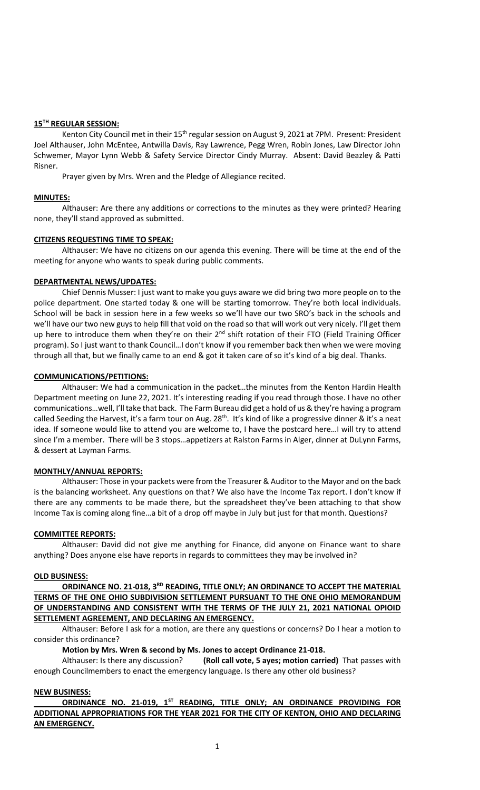# **15TH REGULAR SESSION:**

Kenton City Council met in their 15<sup>th</sup> regular session on August 9, 2021 at 7PM. Present: President Joel Althauser, John McEntee, Antwilla Davis, Ray Lawrence, Pegg Wren, Robin Jones, Law Director John Schwemer, Mayor Lynn Webb & Safety Service Director Cindy Murray. Absent: David Beazley & Patti Risner.

Prayer given by Mrs. Wren and the Pledge of Allegiance recited.

# **MINUTES:**

Althauser: Are there any additions or corrections to the minutes as they were printed? Hearing none, they'll stand approved as submitted.

# **CITIZENS REQUESTING TIME TO SPEAK:**

Althauser: We have no citizens on our agenda this evening. There will be time at the end of the meeting for anyone who wants to speak during public comments.

## **DEPARTMENTAL NEWS/UPDATES:**

Chief Dennis Musser: I just want to make you guys aware we did bring two more people on to the police department. One started today & one will be starting tomorrow. They're both local individuals. School will be back in session here in a few weeks so we'll have our two SRO's back in the schools and we'll have our two new guys to help fill that void on the road so that will work out very nicely. I'll get them up here to introduce them when they're on their  $2^{nd}$  shift rotation of their FTO (Field Training Officer program). So I just want to thank Council…I don't know if you remember back then when we were moving through all that, but we finally came to an end & got it taken care of so it's kind of a big deal. Thanks.

## **COMMUNICATIONS/PETITIONS:**

Althauser: We had a communication in the packet…the minutes from the Kenton Hardin Health Department meeting on June 22, 2021. It's interesting reading if you read through those. I have no other communications…well, I'll take that back. The Farm Bureau did get a hold of us & they're having a program called Seeding the Harvest, it's a farm tour on Aug. 28<sup>th</sup>. It's kind of like a progressive dinner & it's a neat idea. If someone would like to attend you are welcome to, I have the postcard here…I will try to attend since I'm a member. There will be 3 stops…appetizers at Ralston Farms in Alger, dinner at DuLynn Farms, & dessert at Layman Farms.

#### **MONTHLY/ANNUAL REPORTS:**

Althauser: Those in your packets were from the Treasurer & Auditor to the Mayor and on the back is the balancing worksheet. Any questions on that? We also have the Income Tax report. I don't know if there are any comments to be made there, but the spreadsheet they've been attaching to that show Income Tax is coming along fine…a bit of a drop off maybe in July but just for that month. Questions?

#### **COMMITTEE REPORTS:**

Althauser: David did not give me anything for Finance, did anyone on Finance want to share anything? Does anyone else have reports in regards to committees they may be involved in?

#### **OLD BUSINESS:**

**ORDINANCE NO. 21-018, 3RD READING, TITLE ONLY; AN ORDINANCE TO ACCEPT THE MATERIAL TERMS OF THE ONE OHIO SUBDIVISION SETTLEMENT PURSUANT TO THE ONE OHIO MEMORANDUM OF UNDERSTANDING AND CONSISTENT WITH THE TERMS OF THE JULY 21, 2021 NATIONAL OPIOID SETTLEMENT AGREEMENT, AND DECLARING AN EMERGENCY.**

Althauser: Before I ask for a motion, are there any questions or concerns? Do I hear a motion to consider this ordinance?

**Motion by Mrs. Wren & second by Ms. Jones to accept Ordinance 21-018.**

Althauser: Is there any discussion? **(Roll call vote, 5 ayes; motion carried)** That passes with enough Councilmembers to enact the emergency language. Is there any other old business?

# **NEW BUSINESS:**

**ORDINANCE NO. 21-019, 1ST READING, TITLE ONLY; AN ORDINANCE PROVIDING FOR ADDITIONAL APPROPRIATIONS FOR THE YEAR 2021 FOR THE CITY OF KENTON, OHIO AND DECLARING AN EMERGENCY.**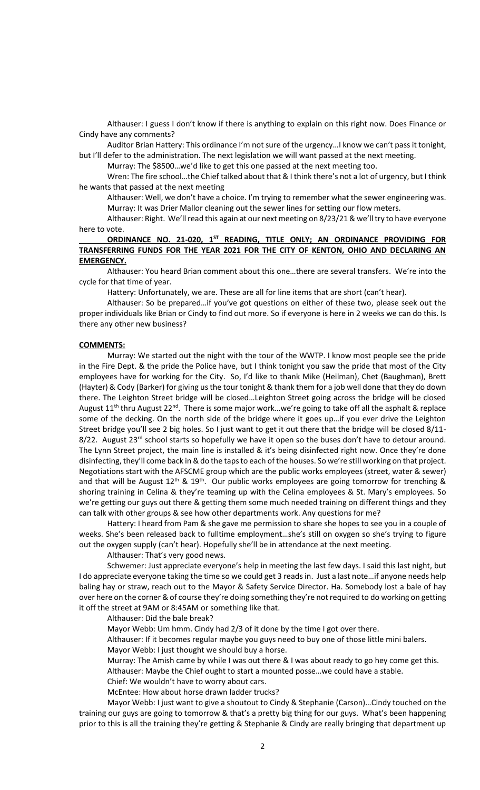Althauser: I guess I don't know if there is anything to explain on this right now. Does Finance or Cindy have any comments?

Auditor Brian Hattery: This ordinance I'm not sure of the urgency…I know we can't pass it tonight, but I'll defer to the administration. The next legislation we will want passed at the next meeting.

Murray: The \$8500…we'd like to get this one passed at the next meeting too.

Wren: The fire school…the Chief talked about that & I think there's not a lot of urgency, but I think he wants that passed at the next meeting

Althauser: Well, we don't have a choice. I'm trying to remember what the sewer engineering was. Murray: It was Drier Mallor cleaning out the sewer lines for setting our flow meters.

Althauser: Right. We'll read this again at our next meeting on 8/23/21 & we'll try to have everyone here to vote.

**ORDINANCE NO. 21-020, 1ST READING, TITLE ONLY; AN ORDINANCE PROVIDING FOR TRANSFERRING FUNDS FOR THE YEAR 2021 FOR THE CITY OF KENTON, OHIO AND DECLARING AN EMERGENCY.**

Althauser: You heard Brian comment about this one…there are several transfers. We're into the cycle for that time of year.

Hattery: Unfortunately, we are. These are all for line items that are short (can't hear).

Althauser: So be prepared…if you've got questions on either of these two, please seek out the proper individuals like Brian or Cindy to find out more. So if everyone is here in 2 weeks we can do this. Is there any other new business?

# **COMMENTS:**

Murray: We started out the night with the tour of the WWTP. I know most people see the pride in the Fire Dept. & the pride the Police have, but I think tonight you saw the pride that most of the City employees have for working for the City. So, I'd like to thank Mike (Heilman), Chet (Baughman), Brett (Hayter) & Cody (Barker) for giving us the tour tonight & thank them for a job well done that they do down there. The Leighton Street bridge will be closed…Leighton Street going across the bridge will be closed August 11<sup>th</sup> thru August 22<sup>nd</sup>. There is some major work...we're going to take off all the asphalt & replace some of the decking. On the north side of the bridge where it goes up…if you ever drive the Leighton Street bridge you'll see 2 big holes. So I just want to get it out there that the bridge will be closed 8/11- 8/22. August 23<sup>rd</sup> school starts so hopefully we have it open so the buses don't have to detour around. The Lynn Street project, the main line is installed & it's being disinfected right now. Once they're done disinfecting, they'll come back in & do the taps to each of the houses. So we're still working on that project. Negotiations start with the AFSCME group which are the public works employees (street, water & sewer) and that will be August  $12^{th}$  &  $19^{th}$ . Our public works employees are going tomorrow for trenching & shoring training in Celina & they're teaming up with the Celina employees & St. Mary's employees. So we're getting our guys out there & getting them some much needed training on different things and they can talk with other groups & see how other departments work. Any questions for me?

Hattery: I heard from Pam & she gave me permission to share she hopes to see you in a couple of weeks. She's been released back to fulltime employment…she's still on oxygen so she's trying to figure out the oxygen supply (can't hear). Hopefully she'll be in attendance at the next meeting.

Althauser: That's very good news.

Schwemer: Just appreciate everyone's help in meeting the last few days. I said this last night, but I do appreciate everyone taking the time so we could get 3 reads in. Just a last note…if anyone needs help baling hay or straw, reach out to the Mayor & Safety Service Director. Ha. Somebody lost a bale of hay over here on the corner & of course they're doing something they're not required to do working on getting it off the street at 9AM or 8:45AM or something like that.

Althauser: Did the bale break?

Mayor Webb: Um hmm. Cindy had 2/3 of it done by the time I got over there.

Althauser: If it becomes regular maybe you guys need to buy one of those little mini balers. Mayor Webb: I just thought we should buy a horse.

Murray: The Amish came by while I was out there & I was about ready to go hey come get this. Althauser: Maybe the Chief ought to start a mounted posse…we could have a stable.

Chief: We wouldn't have to worry about cars.

McEntee: How about horse drawn ladder trucks?

Mayor Webb: I just want to give a shoutout to Cindy & Stephanie (Carson)…Cindy touched on the training our guys are going to tomorrow & that's a pretty big thing for our guys. What's been happening prior to this is all the training they're getting & Stephanie & Cindy are really bringing that department up